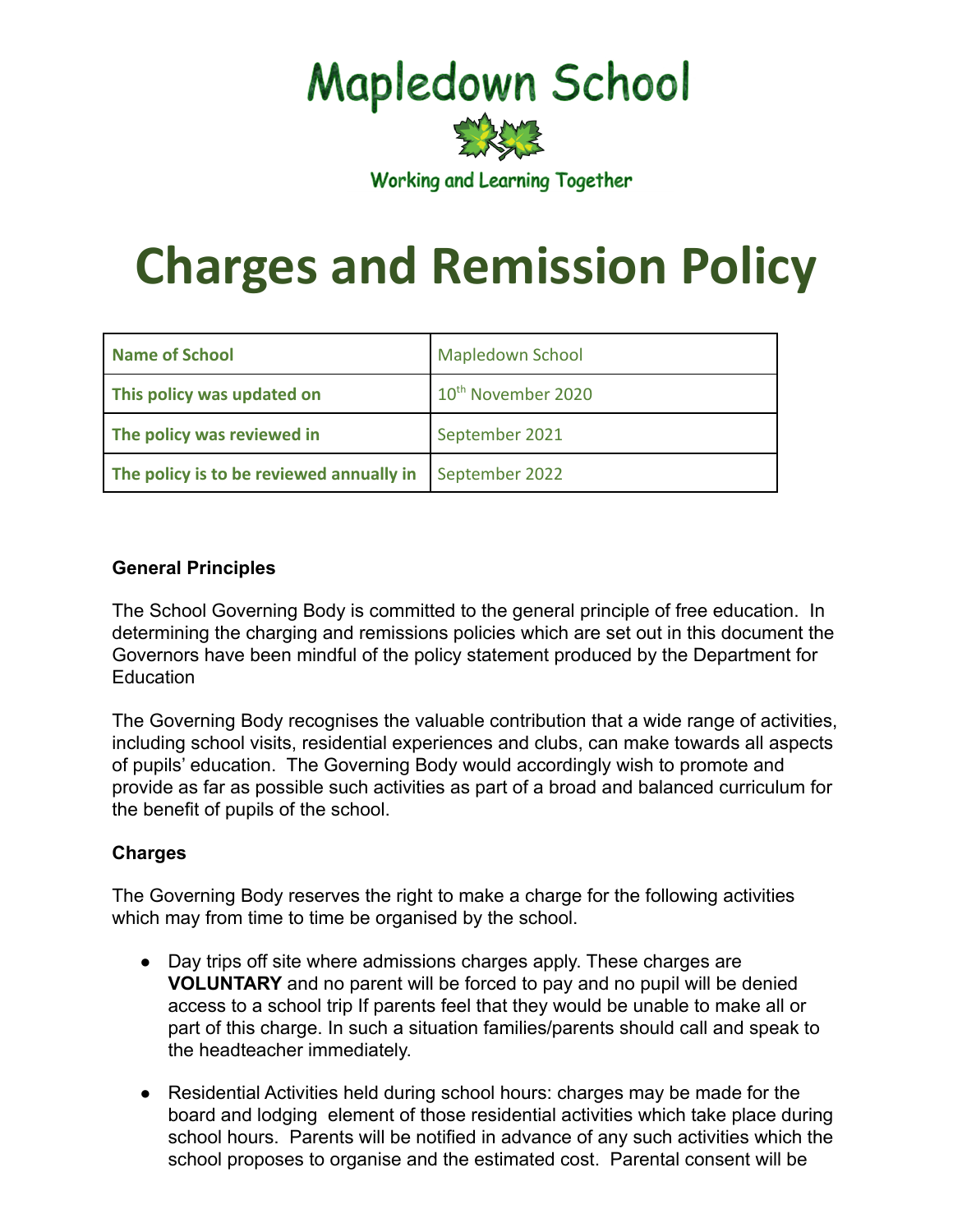## **Mapledown School**

**Working and Learning Together** 

# **Charges and Remission Policy**

| <b>Name of School</b>                    | <b>Mapledown School</b>        |
|------------------------------------------|--------------------------------|
| This policy was updated on               | 10 <sup>th</sup> November 2020 |
| The policy was reviewed in               | September 2021                 |
| The policy is to be reviewed annually in | September 2022                 |

### **General Principles**

The School Governing Body is committed to the general principle of free education. In determining the charging and remissions policies which are set out in this document the Governors have been mindful of the policy statement produced by the Department for **Education** 

The Governing Body recognises the valuable contribution that a wide range of activities, including school visits, residential experiences and clubs, can make towards all aspects of pupils' education. The Governing Body would accordingly wish to promote and provide as far as possible such activities as part of a broad and balanced curriculum for the benefit of pupils of the school.

#### **Charges**

The Governing Body reserves the right to make a charge for the following activities which may from time to time be organised by the school.

- Day trips off site where admissions charges apply. These charges are **VOLUNTARY** and no parent will be forced to pay and no pupil will be denied access to a school trip If parents feel that they would be unable to make all or part of this charge. In such a situation families/parents should call and speak to the headteacher immediately.
- Residential Activities held during school hours: charges may be made for the board and lodging element of those residential activities which take place during school hours. Parents will be notified in advance of any such activities which the school proposes to organise and the estimated cost. Parental consent will be